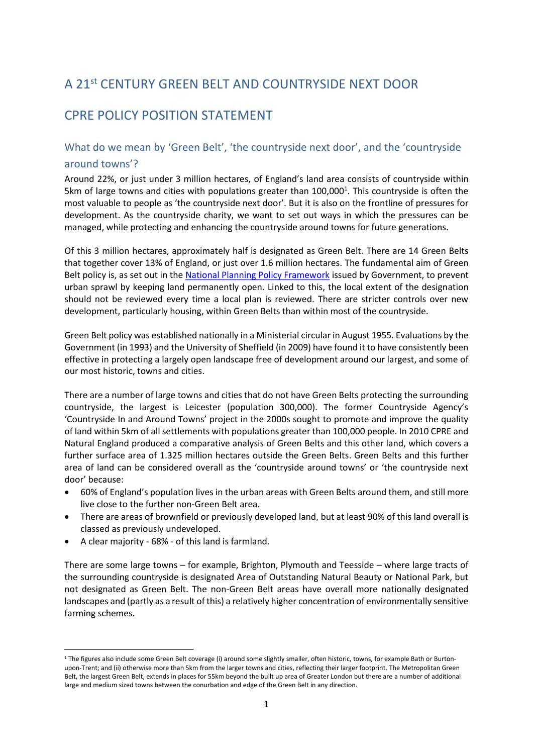# A 21st CENTURY GREEN BELT AND COUNTRYSIDE NEXT DOOR

## CPRE POLICY POSITION STATEMENT

### What do we mean by 'Green Belt', 'the countryside next door', and the 'countryside around towns'?

Around 22%, or just under 3 million hectares, of England's land area consists of countryside within 5km of large towns and cities with populations greater than 100,000<sup>1</sup>. This countryside is often the most valuable to people as 'the countryside next door'. But it is also on the frontline of pressures for development. As the countryside charity, we want to set out ways in which the pressures can be managed, while protecting and enhancing the countryside around towns for future generations.

Of this 3 million hectares, approximately half is designated as Green Belt. There are 14 Green Belts that together cover 13% of England, or just over 1.6 million hectares. The fundamental aim of Green Belt policy is, as set out in the [National Planning Policy Framework](https://www.gov.uk/government/publications/national-planning-policy-framework--2) issued by Government, to prevent urban sprawl by keeping land permanently open. Linked to this, the local extent of the designation should not be reviewed every time a local plan is reviewed. There are stricter controls over new development, particularly housing, within Green Belts than within most of the countryside.

Green Belt policy was established nationally in a Ministerial circular in August 1955. Evaluations by the Government (in 1993) and the University of Sheffield (in 2009) have found it to have consistently been effective in protecting a largely open landscape free of development around our largest, and some of our most historic, towns and cities.

There are a number of large towns and cities that do not have Green Belts protecting the surrounding countryside, the largest is Leicester (population 300,000). The former Countryside Agency's 'Countryside In and Around Towns' project in the 2000s sought to promote and improve the quality of land within 5km of all settlements with populations greater than 100,000 people. In 2010 CPRE and Natural England produced a comparative analysis of Green Belts and this other land, which covers a further surface area of 1.325 million hectares outside the Green Belts. Green Belts and this further area of land can be considered overall as the 'countryside around towns' or 'the countryside next door' because:

- 60% of England's population lives in the urban areas with Green Belts around them, and still more live close to the further non-Green Belt area.
- There are areas of brownfield or previously developed land, but at least 90% of this land overall is classed as previously undeveloped.
- A clear majority 68% of this land is farmland.

1

There are some large towns – for example, Brighton, Plymouth and Teesside – where large tracts of the surrounding countryside is designated Area of Outstanding Natural Beauty or National Park, but not designated as Green Belt. The non-Green Belt areas have overall more nationally designated landscapes and (partly as a result of this) a relatively higher concentration of environmentally sensitive farming schemes.

<sup>&</sup>lt;sup>1</sup> The figures also include some Green Belt coverage (i) around some slightly smaller, often historic, towns, for example Bath or Burtonupon-Trent; and (ii) otherwise more than 5km from the larger towns and cities, reflecting their larger footprint. The Metropolitan Green Belt, the largest Green Belt, extends in places for 55km beyond the built up area of Greater London but there are a number of additional large and medium sized towns between the conurbation and edge of the Green Belt in any direction.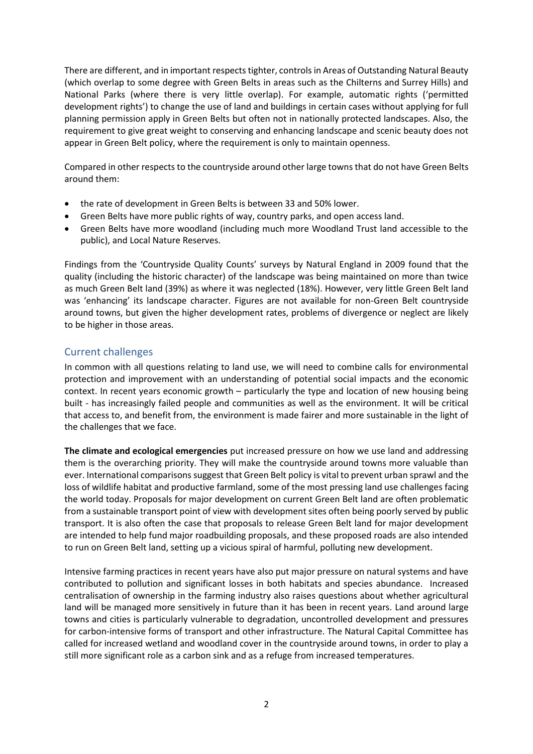There are different, and in important respects tighter, controls in Areas of Outstanding Natural Beauty (which overlap to some degree with Green Belts in areas such as the Chilterns and Surrey Hills) and National Parks (where there is very little overlap). For example, automatic rights ('permitted development rights') to change the use of land and buildings in certain cases without applying for full planning permission apply in Green Belts but often not in nationally protected landscapes. Also, the requirement to give great weight to conserving and enhancing landscape and scenic beauty does not appear in Green Belt policy, where the requirement is only to maintain openness.

Compared in other respects to the countryside around other large towns that do not have Green Belts around them:

- the rate of development in Green Belts is between 33 and 50% lower.
- Green Belts have more public rights of way, country parks, and open access land.
- Green Belts have more woodland (including much more Woodland Trust land accessible to the public), and Local Nature Reserves.

Findings from the 'Countryside Quality Counts' surveys by Natural England in 2009 found that the quality (including the historic character) of the landscape was being maintained on more than twice as much Green Belt land (39%) as where it was neglected (18%). However, very little Green Belt land was 'enhancing' its landscape character. Figures are not available for non-Green Belt countryside around towns, but given the higher development rates, problems of divergence or neglect are likely to be higher in those areas.

#### Current challenges

In common with all questions relating to land use, we will need to combine calls for environmental protection and improvement with an understanding of potential social impacts and the economic context. In recent years economic growth – particularly the type and location of new housing being built - has increasingly failed people and communities as well as the environment. It will be critical that access to, and benefit from, the environment is made fairer and more sustainable in the light of the challenges that we face.

**The climate and ecological emergencies** put increased pressure on how we use land and addressing them is the overarching priority. They will make the countryside around towns more valuable than ever. International comparisons suggest that Green Belt policy is vital to prevent urban sprawl and the loss of wildlife habitat and productive farmland, some of the most pressing land use challenges facing the world today. Proposals for major development on current Green Belt land are often problematic from a sustainable transport point of view with development sites often being poorly served by public transport. It is also often the case that proposals to release Green Belt land for major development are intended to help fund major roadbuilding proposals, and these proposed roads are also intended to run on Green Belt land, setting up a vicious spiral of harmful, polluting new development.

Intensive farming practices in recent years have also put major pressure on natural systems and have contributed to pollution and significant losses in both habitats and species abundance. Increased centralisation of ownership in the farming industry also raises questions about whether agricultural land will be managed more sensitively in future than it has been in recent years. Land around large towns and cities is particularly vulnerable to degradation, uncontrolled development and pressures for carbon-intensive forms of transport and other infrastructure. The Natural Capital Committee has called for increased wetland and woodland cover in the countryside around towns, in order to play a still more significant role as a carbon sink and as a refuge from increased temperatures.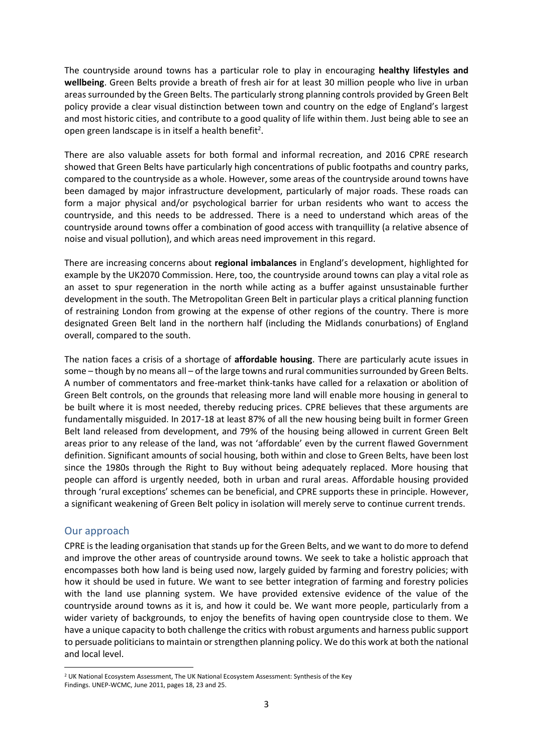The countryside around towns has a particular role to play in encouraging **healthy lifestyles and wellbeing**. Green Belts provide a breath of fresh air for at least 30 million people who live in urban areas surrounded by the Green Belts. The particularly strong planning controls provided by Green Belt policy provide a clear visual distinction between town and country on the edge of England's largest and most historic cities, and contribute to a good quality of life within them. Just being able to see an open green landscape is in itself a health benefit<sup>2</sup>.

There are also valuable assets for both formal and informal recreation, and 2016 CPRE research showed that Green Belts have particularly high concentrations of public footpaths and country parks, compared to the countryside as a whole. However, some areas of the countryside around towns have been damaged by major infrastructure development, particularly of major roads. These roads can form a major physical and/or psychological barrier for urban residents who want to access the countryside, and this needs to be addressed. There is a need to understand which areas of the countryside around towns offer a combination of good access with tranquillity (a relative absence of noise and visual pollution), and which areas need improvement in this regard.

There are increasing concerns about **regional imbalances** in England's development, highlighted for example by the UK2070 Commission. Here, too, the countryside around towns can play a vital role as an asset to spur regeneration in the north while acting as a buffer against unsustainable further development in the south. The Metropolitan Green Belt in particular plays a critical planning function of restraining London from growing at the expense of other regions of the country. There is more designated Green Belt land in the northern half (including the Midlands conurbations) of England overall, compared to the south.

The nation faces a crisis of a shortage of **affordable housing**. There are particularly acute issues in some – though by no means all – of the large towns and rural communities surrounded by Green Belts. A number of commentators and free-market think-tanks have called for a relaxation or abolition of Green Belt controls, on the grounds that releasing more land will enable more housing in general to be built where it is most needed, thereby reducing prices. CPRE believes that these arguments are fundamentally misguided. In 2017-18 at least 87% of all the new housing being built in former Green Belt land released from development, and 79% of the housing being allowed in current Green Belt areas prior to any release of the land, was not 'affordable' even by the current flawed Government definition. Significant amounts of social housing, both within and close to Green Belts, have been lost since the 1980s through the Right to Buy without being adequately replaced. More housing that people can afford is urgently needed, both in urban and rural areas. Affordable housing provided through 'rural exceptions' schemes can be beneficial, and CPRE supports these in principle. However, a significant weakening of Green Belt policy in isolation will merely serve to continue current trends.

#### Our approach

 $\overline{a}$ 

CPRE is the leading organisation that stands up for the Green Belts, and we want to do more to defend and improve the other areas of countryside around towns. We seek to take a holistic approach that encompasses both how land is being used now, largely guided by farming and forestry policies; with how it should be used in future. We want to see better integration of farming and forestry policies with the land use planning system. We have provided extensive evidence of the value of the countryside around towns as it is, and how it could be. We want more people, particularly from a wider variety of backgrounds, to enjoy the benefits of having open countryside close to them. We have a unique capacity to both challenge the critics with robust arguments and harness public support to persuade politicians to maintain or strengthen planning policy. We do this work at both the national and local level.

<sup>2</sup> UK National Ecosystem Assessment, The UK National Ecosystem Assessment: Synthesis of the Key Findings. UNEP-WCMC, June 2011, pages 18, 23 and 25.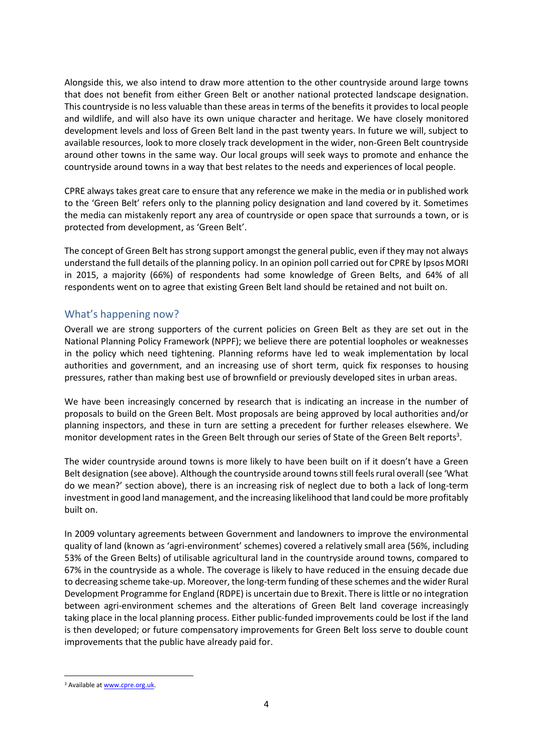Alongside this, we also intend to draw more attention to the other countryside around large towns that does not benefit from either Green Belt or another national protected landscape designation. This countryside is no less valuable than these areas in terms of the benefits it provides to local people and wildlife, and will also have its own unique character and heritage. We have closely monitored development levels and loss of Green Belt land in the past twenty years. In future we will, subject to available resources, look to more closely track development in the wider, non-Green Belt countryside around other towns in the same way. Our local groups will seek ways to promote and enhance the countryside around towns in a way that best relates to the needs and experiences of local people.

CPRE always takes great care to ensure that any reference we make in the media or in published work to the 'Green Belt' refers only to the planning policy designation and land covered by it. Sometimes the media can mistakenly report any area of countryside or open space that surrounds a town, or is protected from development, as 'Green Belt'.

The concept of Green Belt has strong support amongst the general public, even if they may not always understand the full details of the planning policy. In an opinion poll carried out for CPRE by Ipsos MORI in 2015, a majority (66%) of respondents had some knowledge of Green Belts, and 64% of all respondents went on to agree that existing Green Belt land should be retained and not built on.

#### What's happening now?

Overall we are strong supporters of the current policies on Green Belt as they are set out in the National Planning Policy Framework (NPPF); we believe there are potential loopholes or weaknesses in the policy which need tightening. Planning reforms have led to weak implementation by local authorities and government, and an increasing use of short term, quick fix responses to housing pressures, rather than making best use of brownfield or previously developed sites in urban areas.

We have been increasingly concerned by research that is indicating an increase in the number of proposals to build on the Green Belt. Most proposals are being approved by local authorities and/or planning inspectors, and these in turn are setting a precedent for further releases elsewhere. We monitor development rates in the Green Belt through our series of State of the Green Belt reports<sup>3</sup>.

The wider countryside around towns is more likely to have been built on if it doesn't have a Green Belt designation (see above). Although the countryside around townsstill feels rural overall (see 'What do we mean?' section above), there is an increasing risk of neglect due to both a lack of long-term investment in good land management, and the increasing likelihood that land could be more profitably built on.

In 2009 voluntary agreements between Government and landowners to improve the environmental quality of land (known as 'agri-environment' schemes) covered a relatively small area (56%, including 53% of the Green Belts) of utilisable agricultural land in the countryside around towns, compared to 67% in the countryside as a whole. The coverage is likely to have reduced in the ensuing decade due to decreasing scheme take-up. Moreover, the long-term funding of these schemes and the wider Rural Development Programme for England (RDPE) is uncertain due to Brexit. There is little or no integration between agri-environment schemes and the alterations of Green Belt land coverage increasingly taking place in the local planning process. Either public-funded improvements could be lost if the land is then developed; or future compensatory improvements for Green Belt loss serve to double count improvements that the public have already paid for.

 $\overline{a}$ 

<sup>&</sup>lt;sup>3</sup> Available a[t www.cpre.org.uk.](http://www.cpre.org.uk/)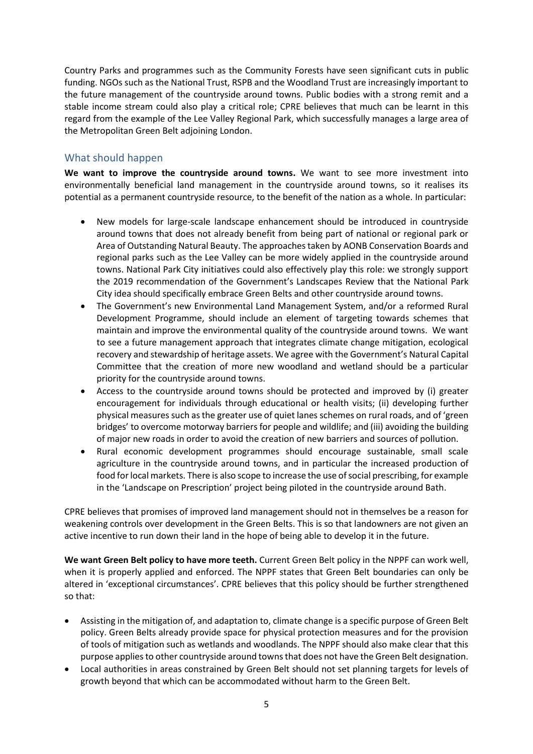Country Parks and programmes such as the Community Forests have seen significant cuts in public funding. NGOs such as the National Trust, RSPB and the Woodland Trust are increasingly important to the future management of the countryside around towns. Public bodies with a strong remit and a stable income stream could also play a critical role; CPRE believes that much can be learnt in this regard from the example of the Lee Valley Regional Park, which successfully manages a large area of the Metropolitan Green Belt adjoining London.

#### What should happen

**We want to improve the countryside around towns.** We want to see more investment into environmentally beneficial land management in the countryside around towns, so it realises its potential as a permanent countryside resource, to the benefit of the nation as a whole. In particular:

- New models for large-scale landscape enhancement should be introduced in countryside around towns that does not already benefit from being part of national or regional park or Area of Outstanding Natural Beauty. The approaches taken by AONB Conservation Boards and regional parks such as the Lee Valley can be more widely applied in the countryside around towns. National Park City initiatives could also effectively play this role: we strongly support the 2019 recommendation of the Government's Landscapes Review that the National Park City idea should specifically embrace Green Belts and other countryside around towns.
- The Government's new Environmental Land Management System, and/or a reformed Rural Development Programme, should include an element of targeting towards schemes that maintain and improve the environmental quality of the countryside around towns. We want to see a future management approach that integrates climate change mitigation, ecological recovery and stewardship of heritage assets. We agree with the Government's Natural Capital Committee that the creation of more new woodland and wetland should be a particular priority for the countryside around towns.
- Access to the countryside around towns should be protected and improved by (i) greater encouragement for individuals through educational or health visits; (ii) developing further physical measures such as the greater use of quiet lanes schemes on rural roads, and of 'green bridges' to overcome motorway barriers for people and wildlife; and (iii) avoiding the building of major new roads in order to avoid the creation of new barriers and sources of pollution.
- Rural economic development programmes should encourage sustainable, small scale agriculture in the countryside around towns, and in particular the increased production of food for local markets. There is also scope to increase the use of social prescribing, for example in the 'Landscape on Prescription' project being piloted in the countryside around Bath.

CPRE believes that promises of improved land management should not in themselves be a reason for weakening controls over development in the Green Belts. This is so that landowners are not given an active incentive to run down their land in the hope of being able to develop it in the future.

**We want Green Belt policy to have more teeth.** Current Green Belt policy in the NPPF can work well, when it is properly applied and enforced. The NPPF states that Green Belt boundaries can only be altered in 'exceptional circumstances'. CPRE believes that this policy should be further strengthened so that:

- Assisting in the mitigation of, and adaptation to, climate change is a specific purpose of Green Belt policy. Green Belts already provide space for physical protection measures and for the provision of tools of mitigation such as wetlands and woodlands. The NPPF should also make clear that this purpose applies to other countryside around towns that does not have the Green Belt designation.
- Local authorities in areas constrained by Green Belt should not set planning targets for levels of growth beyond that which can be accommodated without harm to the Green Belt.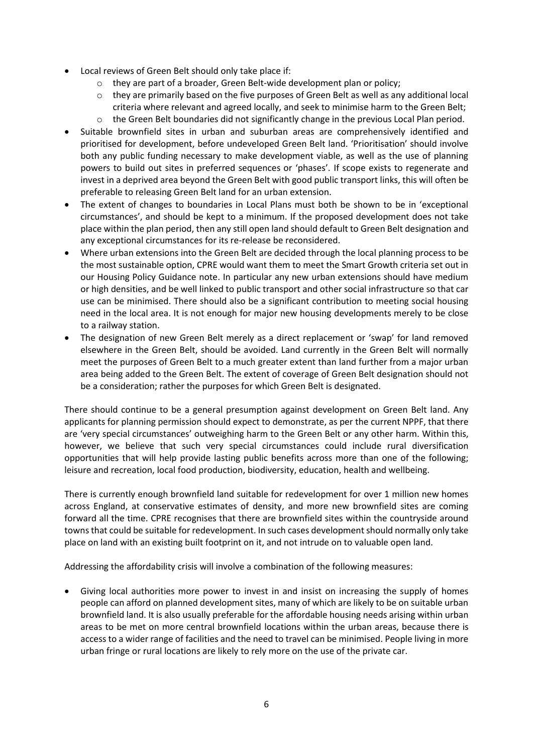- Local reviews of Green Belt should only take place if:
	- o they are part of a broader, Green Belt-wide development plan or policy;
	- $\circ$  they are primarily based on the five purposes of Green Belt as well as any additional local criteria where relevant and agreed locally, and seek to minimise harm to the Green Belt;
	- $\circ$  the Green Belt boundaries did not significantly change in the previous Local Plan period.
- Suitable brownfield sites in urban and suburban areas are comprehensively identified and prioritised for development, before undeveloped Green Belt land. 'Prioritisation' should involve both any public funding necessary to make development viable, as well as the use of planning powers to build out sites in preferred sequences or 'phases'. If scope exists to regenerate and invest in a deprived area beyond the Green Belt with good public transport links, this will often be preferable to releasing Green Belt land for an urban extension.
- The extent of changes to boundaries in Local Plans must both be shown to be in 'exceptional circumstances', and should be kept to a minimum. If the proposed development does not take place within the plan period, then any still open land should default to Green Belt designation and any exceptional circumstances for its re-release be reconsidered.
- Where urban extensions into the Green Belt are decided through the local planning process to be the most sustainable option, CPRE would want them to meet the Smart Growth criteria set out in our Housing Policy Guidance note. In particular any new urban extensions should have medium or high densities, and be well linked to public transport and other social infrastructure so that car use can be minimised. There should also be a significant contribution to meeting social housing need in the local area. It is not enough for major new housing developments merely to be close to a railway station.
- The designation of new Green Belt merely as a direct replacement or 'swap' for land removed elsewhere in the Green Belt, should be avoided. Land currently in the Green Belt will normally meet the purposes of Green Belt to a much greater extent than land further from a major urban area being added to the Green Belt. The extent of coverage of Green Belt designation should not be a consideration; rather the purposes for which Green Belt is designated.

There should continue to be a general presumption against development on Green Belt land. Any applicants for planning permission should expect to demonstrate, as per the current NPPF, that there are 'very special circumstances' outweighing harm to the Green Belt or any other harm. Within this, however, we believe that such very special circumstances could include rural diversification opportunities that will help provide lasting public benefits across more than one of the following; leisure and recreation, local food production, biodiversity, education, health and wellbeing.

There is currently enough brownfield land suitable for redevelopment for over 1 million new homes across England, at conservative estimates of density, and more new brownfield sites are coming forward all the time. CPRE recognises that there are brownfield sites within the countryside around towns that could be suitable for redevelopment. In such cases development should normally only take place on land with an existing built footprint on it, and not intrude on to valuable open land.

Addressing the affordability crisis will involve a combination of the following measures:

 Giving local authorities more power to invest in and insist on increasing the supply of homes people can afford on planned development sites, many of which are likely to be on suitable urban brownfield land. It is also usually preferable for the affordable housing needs arising within urban areas to be met on more central brownfield locations within the urban areas, because there is access to a wider range of facilities and the need to travel can be minimised. People living in more urban fringe or rural locations are likely to rely more on the use of the private car.